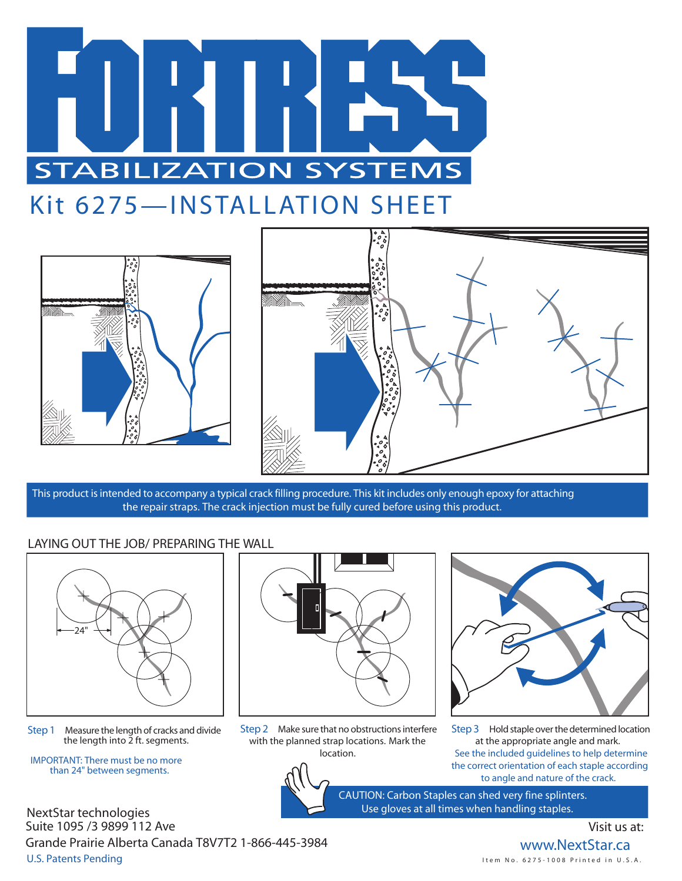

# Kit 6275—INSTALLATION SHEET





This product is intended to accompany a typical crack filling procedure. This kit includes only enough epoxy for attaching the repair straps. The crack injection must be fully cured before using this product.

#### LAYING OUT THE JOB/ PREPARING THE WALL



**Step 1** Measure the length of cracks and divide the length into  $\frac{3}{2}$  ft. segments.

**IMPORTANT: There must be no more than 24" between segments.**



**Step 2** Make sure that no obstructions interfere with the planned strap locations. Mark the location.



**Step 3** Hold staple over the determined location at the appropriate angle and mark. See the included guidelines to help determine the correct orientation of each staple according to angle and nature of the crack.

CAUTION: Carbon Staples can shed very fine splinters. Use gloves at all times when handling staples.

NextStar technologies U.S. Patents Pending Suite 1095 /3 9899 112 Ave Grande Prairie Alberta Canada T8V7T2 1-866-445-3984

### Visit us at:

**www.NextStar.ca** I t e m N o . 6 2 7 5 - 1 0 0 8 P r i n t e d in U . S . A .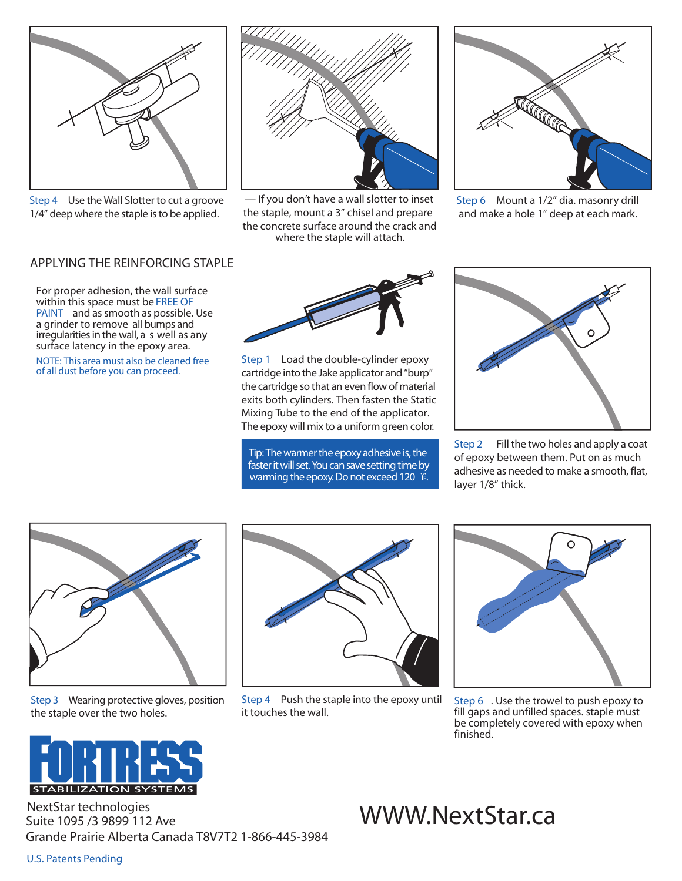

**Step 4** Use the Wall Slotter to cut a groove 1/4" deep where the staple is to be applied.



— If you don't have a wall slotter to inset the staple, mount a 3" chisel and prepare the concrete surface around the crack and where the staple will attach.



**Step 6** Mount a 1/2" dia. masonry drill and make a hole 1" deep at each mark.

#### APPLYING THE REINFORCING STAPLE

For proper adhesion, the wall surface within this space must be **FREE OF PAINT** and as smooth as possible. Use a grinder to remove all bumps and irregularities in the wall, a s well as any surface latency in the epoxy area.

NOTE: This area must also be cleaned free of all dust before you can proceed.



**Step 1** Load the double-cylinder epoxy cartridge into the Jake applicator and "burp" the cartridge so that an even flow of material exits both cylinders. Then fasten the Static Mixing Tube to the end of the applicator. The epoxy will mix to a uniform green color.

Tip: The warmer the epoxy adhesive is, the faster it will set. You can save setting time by warming the epoxy. Do not exceed 120 ¥.



**Step 2** Fill the two holes and apply a coat of epoxy between them. Put on as much adhesive as needed to make a smooth, flat, layer 1/8" thick.



**Step 3** Wearing protective gloves, position the staple over the two holes.



**Step 4** Push the staple into the epoxy until it touches the wall.



**Step 6** . Use the trowel to push epoxy to fill gaps and unfilled spaces. staple must be completely covered with epoxy when finished.



NextStar technologies<br>Suite 1095/3 9899 112 Ave Suite 1095 /3 9899 112 Ave Grande Prairie Alberta Canada T8V7T2 1-866-445-3984

#### U.S. Patents Pending